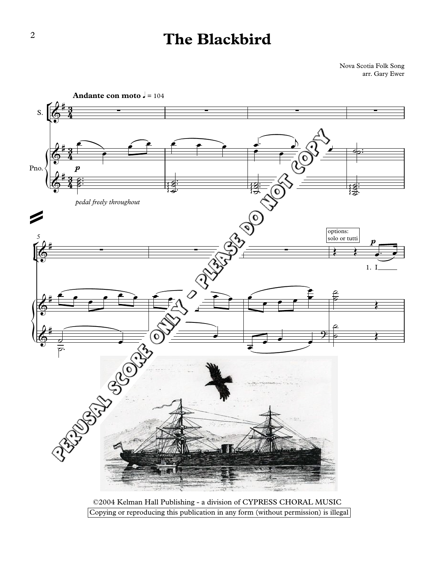## **The Blackbird**

Nova Scotia Folk Song arr. Gary Ewer



©2004 Kelman Hall Publishing - a division of CYPRESS CHORAL MUSIC Copying or reproducing this publication in any form (without permission) is illegal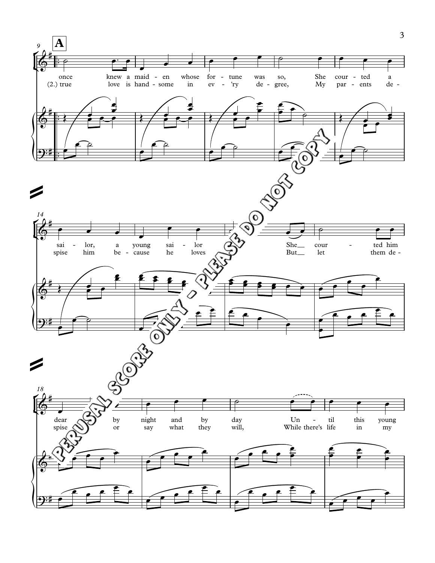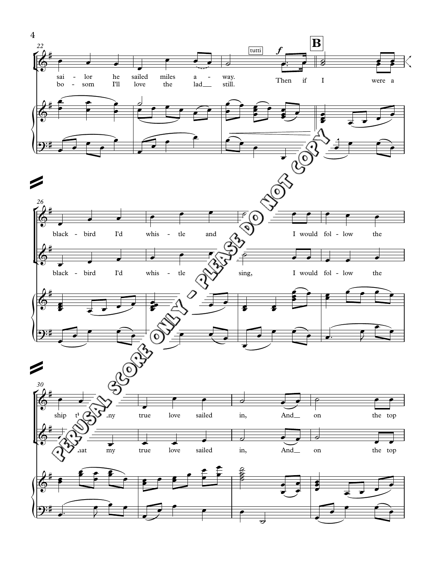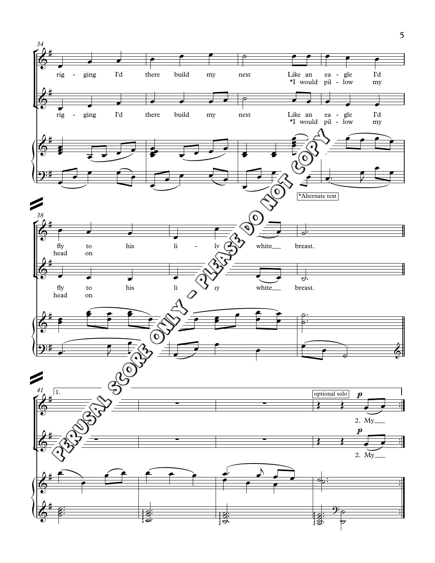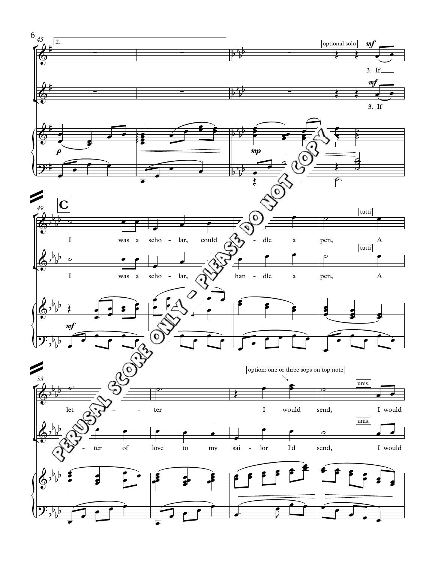